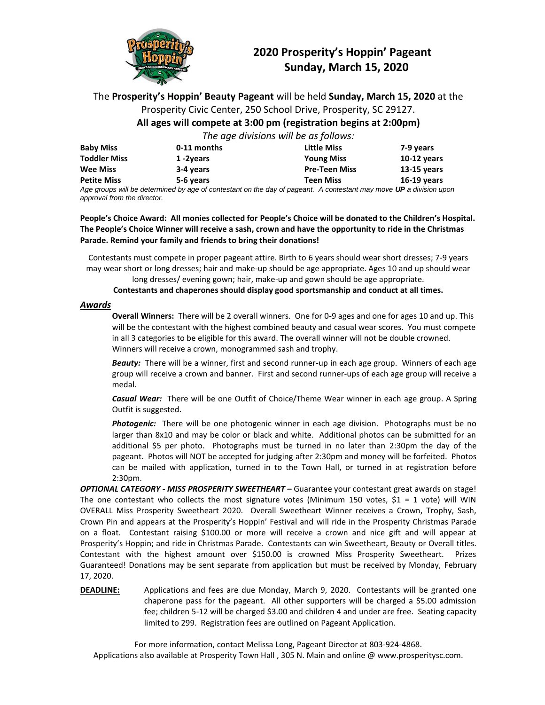

#### **2020 Prosperity's Hoppin' Pageant Sunday, March 15, 2020**

#### The **Prosperity's Hoppin' Beauty Pageant** will be held **Sunday, March 15, 2020** at the Prosperity Civic Center, 250 School Drive, Prosperity, SC 29127. **All ages will compete at 3:00 pm (registration begins at 2:00pm)**

*The age divisions will be as follows:*

| <b>Baby Miss</b>    | 0-11 months | <b>Little Miss</b>   | 7-9 years     |
|---------------------|-------------|----------------------|---------------|
|                     |             |                      |               |
| <b>Toddler Miss</b> | 1-2years    | <b>Young Miss</b>    | $10-12$ years |
| <b>Wee Miss</b>     | 3-4 years   | <b>Pre-Teen Miss</b> | $13-15$ years |
| <b>Petite Miss</b>  | 5-6 years   | <b>Teen Miss</b>     | $16-19$ years |

*Age groups will be determined by age of contestant on the day of pageant. A contestant may move UP a division upon approval from the director.* 

**People's Choice Award: All monies collected for People's Choice will be donated to the Children's Hospital. The People's Choice Winner will receive a sash, crown and have the opportunity to ride in the Christmas Parade. Remind your family and friends to bring their donations!**

Contestants must compete in proper pageant attire. Birth to 6 years should wear short dresses; 7-9 years may wear short or long dresses; hair and make-up should be age appropriate. Ages 10 and up should wear

long dresses/ evening gown; hair, make-up and gown should be age appropriate.

**Contestants and chaperones should display good sportsmanship and conduct at all times.**

#### *Awards*

**Overall Winners:** There will be 2 overall winners. One for 0-9 ages and one for ages 10 and up. This will be the contestant with the highest combined beauty and casual wear scores. You must compete in all 3 categories to be eligible for this award. The overall winner will not be double crowned. Winners will receive a crown, monogrammed sash and trophy.

*Beauty:*There will be a winner, first and second runner-up in each age group. Winners of each age group will receive a crown and banner. First and second runner-ups of each age group will receive a medal.

*Casual Wear:*There will be one Outfit of Choice/Theme Wear winner in each age group. A Spring Outfit is suggested.

*Photogenic:*There will be one photogenic winner in each age division. Photographs must be no larger than 8x10 and may be color or black and white. Additional photos can be submitted for an additional \$5 per photo. Photographs must be turned in no later than 2:30pm the day of the pageant. Photos will NOT be accepted for judging after 2:30pm and money will be forfeited. Photos can be mailed with application, turned in to the Town Hall, or turned in at registration before 2:30pm.

*OPTIONAL CATEGORY - MISS PROSPERITY SWEETHEART –* Guarantee your contestant great awards on stage! The one contestant who collects the most signature votes (Minimum 150 votes,  $$1 = 1$  vote) will WIN OVERALL Miss Prosperity Sweetheart 2020. Overall Sweetheart Winner receives a Crown, Trophy, Sash, Crown Pin and appears at the Prosperity's Hoppin' Festival and will ride in the Prosperity Christmas Parade on a float. Contestant raising \$100.00 or more will receive a crown and nice gift and will appear at Prosperity's Hoppin; and ride in Christmas Parade. Contestants can win Sweetheart, Beauty or Overall titles. Contestant with the highest amount over \$150.00 is crowned Miss Prosperity Sweetheart. Prizes Guaranteed! Donations may be sent separate from application but must be received by Monday, February 17, 2020.

**DEADLINE:** Applications and fees are due Monday, March 9, 2020. Contestants will be granted one chaperone pass for the pageant. All other supporters will be charged a \$5.00 admission fee; children 5-12 will be charged \$3.00 and children 4 and under are free. Seating capacity limited to 299. Registration fees are outlined on Pageant Application.

For more information, contact Melissa Long, Pageant Director at 803-924-4868. Applications also available at Prosperity Town Hall , 305 N. Main and online @ www.prosperitysc.com.